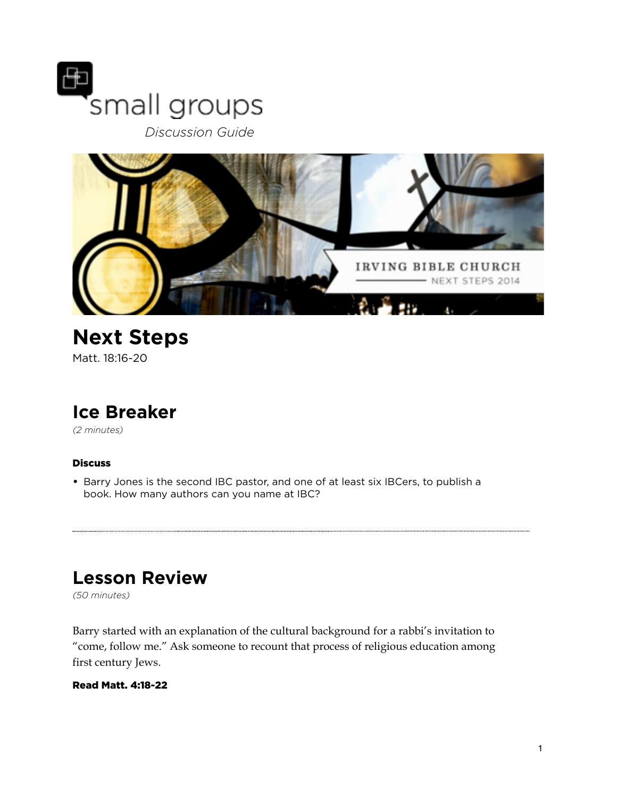

 *Discussion Guide*



## **Next Steps** Matt. 18:16-20

# **Ice Breaker**

*(2 minutes)* 

#### **Discuss**

• Barry Jones is the second IBC pastor, and one of at least six IBCers, to publish a book. How many authors can you name at IBC?

# **Lesson Review**

*(50 minutes)* 

Barry started with an explanation of the cultural background for a rabbi's invitation to "come, follow me." Ask someone to recount that process of religious education among first century Jews.

#### Read Matt. 4:18-22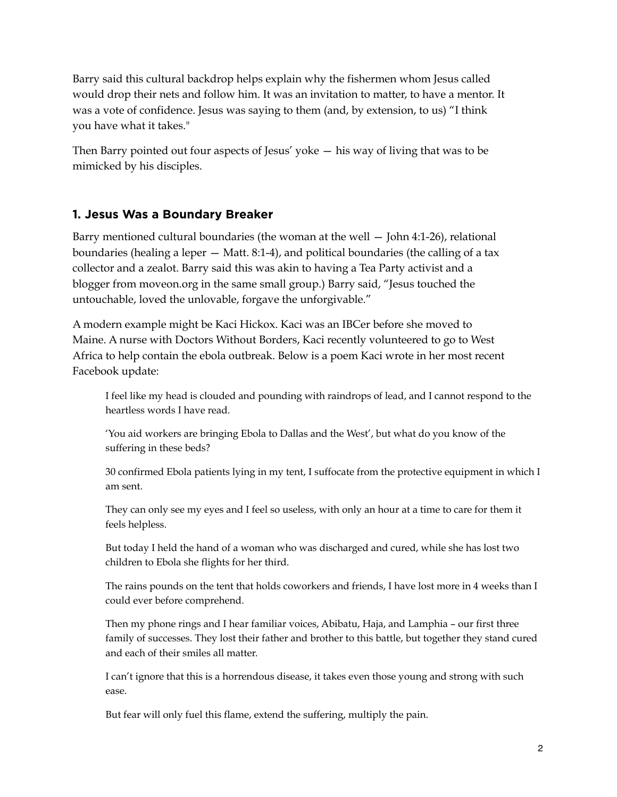Barry said this cultural backdrop helps explain why the fishermen whom Jesus called would drop their nets and follow him. It was an invitation to matter, to have a mentor. It was a vote of confidence. Jesus was saying to them (and, by extension, to us) "I think you have what it takes."

Then Barry pointed out four aspects of Jesus' yoke — his way of living that was to be mimicked by his disciples.

## **1. Jesus Was a Boundary Breaker**

Barry mentioned cultural boundaries (the woman at the well — John 4:1-26), relational boundaries (healing a leper — Matt. 8:1-4), and political boundaries (the calling of a tax collector and a zealot. Barry said this was akin to having a Tea Party activist and a blogger from moveon.org in the same small group.) Barry said, "Jesus touched the untouchable, loved the unlovable, forgave the unforgivable."

A modern example might be Kaci Hickox. Kaci was an IBCer before she moved to Maine. A nurse with Doctors Without Borders, Kaci recently volunteered to go to West Africa to help contain the ebola outbreak. Below is a poem Kaci wrote in her most recent Facebook update:

I feel like my head is clouded and pounding with raindrops of lead, and I cannot respond to the heartless words I have read.

'You aid workers are bringing Ebola to Dallas and the West', but what do you know of the suffering in these beds?

30 confirmed Ebola patients lying in my tent, I suffocate from the protective equipment in which I am sent.

They can only see my eyes and I feel so useless, with only an hour at a time to care for them it feels helpless.

But today I held the hand of a woman who was discharged and cured, while she has lost two children to Ebola she flights for her third.

The rains pounds on the tent that holds coworkers and friends, I have lost more in 4 weeks than I could ever before comprehend.

Then my phone rings and I hear familiar voices, Abibatu, Haja, and Lamphia – our first three family of successes. They lost their father and brother to this battle, but together they stand cured and each of their smiles all matter.

I can't ignore that this is a horrendous disease, it takes even those young and strong with such ease.

But fear will only fuel this flame, extend the suffering, multiply the pain.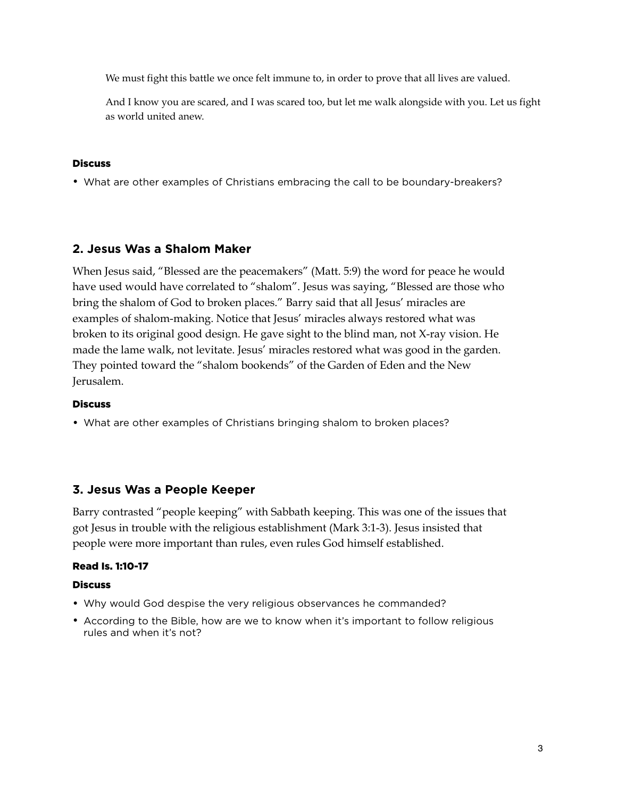We must fight this battle we once felt immune to, in order to prove that all lives are valued.

And I know you are scared, and I was scared too, but let me walk alongside with you. Let us fight as world united anew.

#### **Discuss**

• What are other examples of Christians embracing the call to be boundary-breakers?

### **2. Jesus Was a Shalom Maker**

When Jesus said, "Blessed are the peacemakers" (Matt. 5:9) the word for peace he would have used would have correlated to "shalom". Jesus was saying, "Blessed are those who bring the shalom of God to broken places." Barry said that all Jesus' miracles are examples of shalom-making. Notice that Jesus' miracles always restored what was broken to its original good design. He gave sight to the blind man, not X-ray vision. He made the lame walk, not levitate. Jesus' miracles restored what was good in the garden. They pointed toward the "shalom bookends" of the Garden of Eden and the New Jerusalem.

#### **Discuss**

• What are other examples of Christians bringing shalom to broken places?

### **3. Jesus Was a People Keeper**

Barry contrasted "people keeping" with Sabbath keeping. This was one of the issues that got Jesus in trouble with the religious establishment (Mark 3:1-3). Jesus insisted that people were more important than rules, even rules God himself established.

#### Read Is. 1:10-17

#### **Discuss**

- Why would God despise the very religious observances he commanded?
- According to the Bible, how are we to know when it's important to follow religious rules and when it's not?